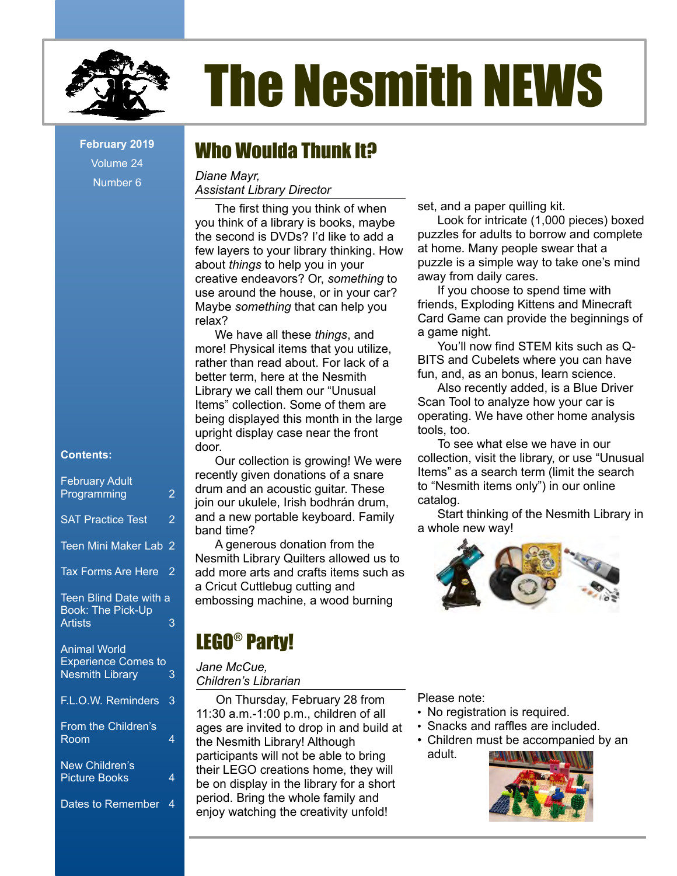

Volume 24 Number 6

#### **Contents:**

| <b>February Adult</b>                                |                |
|------------------------------------------------------|----------------|
| Programming                                          | 2              |
| <b>SAT Practice Test</b>                             | $\overline{2}$ |
| <b>Teen Mini Maker Lab</b>                           | 2              |
| <b>Tax Forms Are Here</b>                            | 2              |
| Teen Blind Date with a<br><b>Book: The Pick-Up</b>   |                |
| <b>Artists</b>                                       | 3              |
| <b>Animal World</b>                                  |                |
| <b>Experience Comes to</b><br><b>Nesmith Library</b> | 3              |
| F.L.O.W. Reminders                                   | 3              |
| From the Children's<br>Room                          | 4              |
|                                                      |                |
| New Children's<br><b>Picture Books</b>               | 4              |
| <b>Dates to Remember</b>                             | 4              |
|                                                      |                |

# The Nesmith NEWS

## February 2019 **Who Woulda Thunk It?**

*Diane Mayr, Assistant Library Director*

The first thing you think of when you think of a library is books, maybe the second is DVDs? I'd like to add a few layers to your library thinking. How about *things* to help you in your creative endeavors? Or, *something* to use around the house, or in your car? Maybe *something* that can help you relax?

We have all these *things*, and more! Physical items that you utilize, rather than read about. For lack of a better term, here at the Nesmith Library we call them our "Unusual Items" collection. Some of them are being displayed this month in the large upright display case near the front door.

Our collection is growing! We were recently given donations of a snare drum and an acoustic guitar. These join our ukulele, Irish bodhrán drum, and a new portable keyboard. Family band time?

A generous donation from the Nesmith Library Quilters allowed us to add more arts and crafts items such as a Cricut Cuttlebug cutting and embossing machine, a wood burning

## LEGO® Party!

#### *Jane McCue, Children's Librarian*

On Thursday, February 28 from 11:30 a.m.-1:00 p.m., children of all ages are invited to drop in and build at the Nesmith Library! Although participants will not be able to bring their LEGO creations home, they will be on display in the library for a short period. Bring the whole family and enjoy watching the creativity unfold!

set, and a paper quilling kit.

Look for intricate (1,000 pieces) boxed puzzles for adults to borrow and complete at home. Many people swear that a puzzle is a simple way to take one's mind away from daily cares.

If you choose to spend time with friends, Exploding Kittens and Minecraft Card Game can provide the beginnings of a game night.

You'll now find STEM kits such as Q-BITS and Cubelets where you can have fun, and, as an bonus, learn science.

Also recently added, is a Blue Driver Scan Tool to analyze how your car is operating. We have other home analysis tools, too.

To see what else we have in our collection, visit the library, or use "Unusual Items" as a search term (limit the search to "Nesmith items only") in our online catalog.

Start thinking of the Nesmith Library in a whole new way!



Please note:

- No registration is required.
- Snacks and raffles are included.
- Children must be accompanied by an adult.

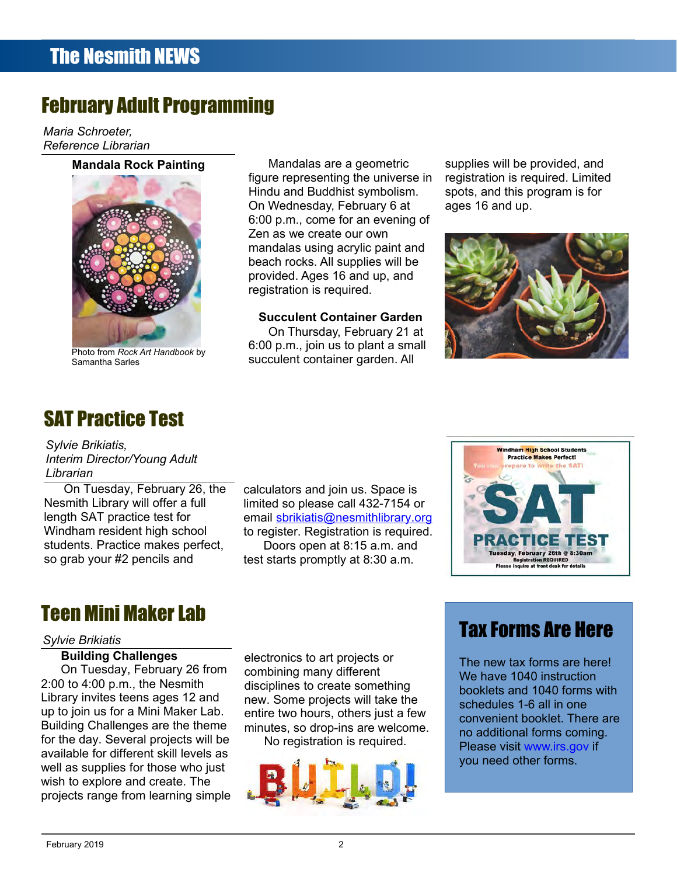## February Adult Programming

*Maria Schroeter, Reference Librarian*

#### **Mandala Rock Painting**



Photo from *Rock Art Handbook* by Samantha Sarles

Mandalas are a geometric figure representing the universe in Hindu and Buddhist symbolism. On Wednesday, February 6 at 6:00 p.m., come for an evening of Zen as we create our own mandalas using acrylic paint and beach rocks. All supplies will be provided. Ages 16 and up, and registration is required.

#### **Succulent Container Garden**

On Thursday, February 21 at 6:00 p.m., join us to plant a small succulent container garden. All

supplies will be provided, and registration is required. Limited spots, and this program is for ages 16 and up.



## SAT Practice Test

*Sylvie Brikiatis, Interim Director/Young Adult Librarian*

On Tuesday, February 26, the Nesmith Library will offer a full length SAT practice test for Windham resident high school students. Practice makes perfect, so grab your #2 pencils and

calculators and join us. Space is limited so please call 432-7154 or email [sbrikiatis@nesmithlibrary.org](mailto:sbrikiatis@nesmithlibrary.org) to register. Registration is required. Doors open at 8:15 a.m. and test starts promptly at 8:30 a.m.



## Teen Mini Maker Lab

#### *Sylvie Brikiatis*

#### **Building Challenges**

On Tuesday, February 26 from 2:00 to 4:00 p.m., the Nesmith Library invites teens ages 12 and up to join us for a Mini Maker Lab. Building Challenges are the theme for the day. Several projects will be available for different skill levels as well as supplies for those who just wish to explore and create. The projects range from learning simple electronics to art projects or combining many different disciplines to create something new. Some projects will take the entire two hours, others just a few minutes, so drop-ins are welcome. No registration is required.



## Tax Forms Are Here

The new tax forms are here! We have 1040 instruction booklets and 1040 forms with schedules 1-6 all in one convenient booklet. There are no additional forms coming. Please visit [www.irs.gov](http://www.irs.gov/) if you need other forms.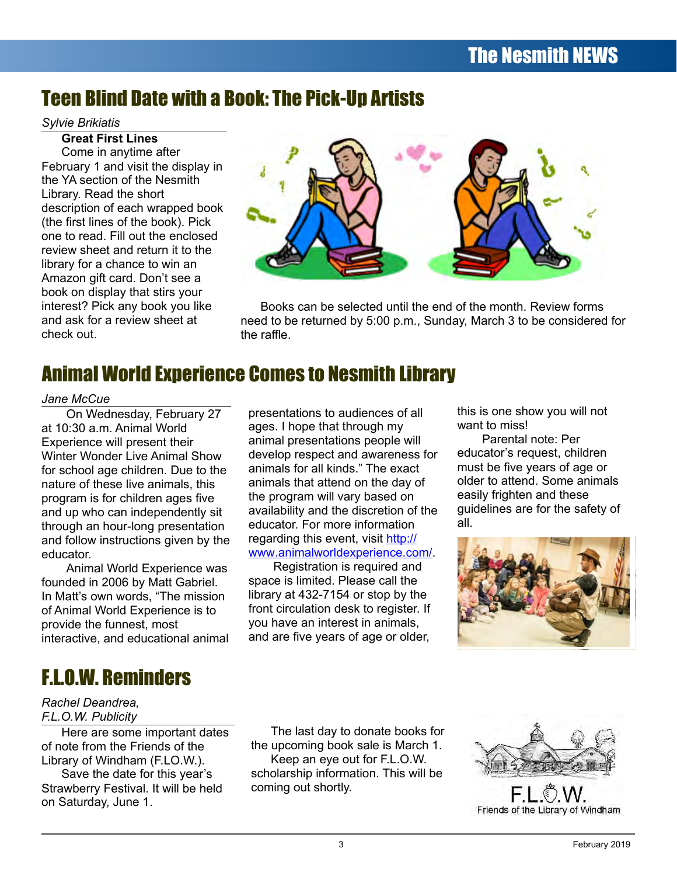## Teen Blind Date with a Book: The Pick-Up Artists

#### *Sylvie Brikiatis*

**Great First Lines** Come in anytime after February 1 and visit the display in the YA section of the Nesmith Library. Read the short description of each wrapped book (the first lines of the book). Pick one to read. Fill out the enclosed review sheet and return it to the library for a chance to win an Amazon gift card. Don't see a book on display that stirs your interest? Pick any book you like and ask for a review sheet at check out.



Books can be selected until the end of the month. Review forms need to be returned by 5:00 p.m., Sunday, March 3 to be considered for the raffle.

## Animal World Experience Comes to Nesmith Library

#### *Jane McCue*

On Wednesday, February 27 at 10:30 a.m. Animal World Experience will present their Winter Wonder Live Animal Show for school age children. Due to the nature of these live animals, this program is for children ages five and up who can independently sit through an hour-long presentation and follow instructions given by the educator.

Animal World Experience was founded in 2006 by Matt Gabriel. In Matt's own words, "The mission of Animal World Experience is to provide the funnest, most interactive, and educational animal

F.L.O.W. Reminders

#### *Rachel Deandrea, F.L.O.W. Publicity*

Here are some important dates of note from the Friends of the Library of Windham (F.LO.W.).

Save the date for this year's Strawberry Festival. It will be held on Saturday, June 1.

presentations to audiences of all ages. I hope that through my animal presentations people will develop respect and awareness for animals for all kinds." The exact animals that attend on the day of the program will vary based on availability and the discretion of the educator. For more information regarding this event, visit [http://](http://www/)  [www](http://www/) [.animalworldexperience.com/](http://www.animalworldexperience.com/).

Registration is required and space is limited. Please call the library at 432-7154 or stop by the front circulation desk to register. If you have an interest in animals, and are five years of age or older,

this is one show you will not want to miss!

Parental note: Per educator's request, children must be five years of age or older to attend. Some animals easily frighten and these guidelines are for the safety of all.



The last day to donate books for the upcoming book sale is March 1. Keep an eye out for F.L.O.W. scholarship information. This will be coming out shortly.



Friends of the Library of Windham